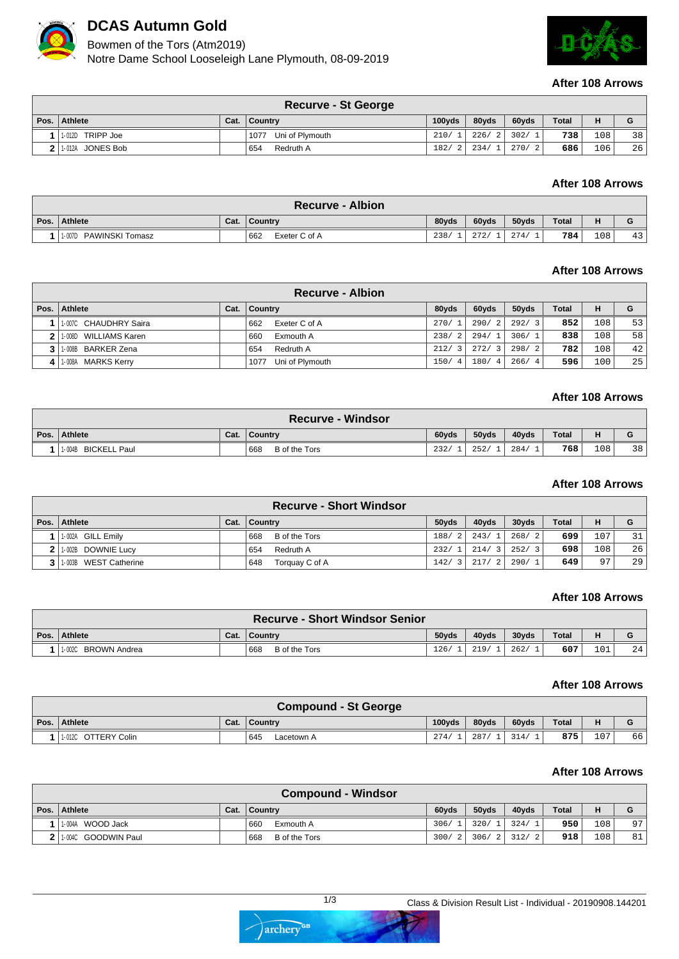

## **DCAS Autumn Gold**

Bowmen of the Tors (Atm2019)

Notre Dame School Looseleigh Lane Plymouth, 08-09-2019



#### **After 108 Arrows**

|      |                  | <b>Recurve - St George</b> |                     |       |               |              |       |    |
|------|------------------|----------------------------|---------------------|-------|---------------|--------------|-------|----|
| Pos. | Athlete          | Cat.   Country             | 100 <sub>v</sub> ds | 80vds | 60vds         | <b>Total</b> | н     |    |
|      | 1-012D TRIPP Joe | Uni of Plymouth<br>1077    | 210/1               |       | 226/2 302/1   | 738          | 108 I | 38 |
|      | 1-012A JONES Bob | Redruth A<br>654           | 182/2               |       | 234/1   270/2 | 686          | 106   | 26 |

## **After 108 Arrows**

|      |                        |      | <b>Recurve - Albion</b> |       |       |       |       |     |          |
|------|------------------------|------|-------------------------|-------|-------|-------|-------|-----|----------|
| Pos. | Athlete                | Cat. | ∣ Country               | 80vds | 60yds | 50yds | Total | н   | G        |
|      | 1-007D PAWINSKI Tomasz |      | 662<br>Exeter C of A    | 238   | 272   | 274/  | 784   | 108 | 1つ<br>45 |

## **After 108 Arrows**

|      |                        | <b>Recurve - Albion</b> |       |       |       |              |     |     |
|------|------------------------|-------------------------|-------|-------|-------|--------------|-----|-----|
| Pos. | Athlete                | Cat. Country            | 80yds | 60yds | 50yds | <b>Total</b> | н   | G   |
|      | 1-007C CHAUDHRY Saira  | Exeter C of A<br>662    | 270/1 | 290/2 | 292/3 | 852          | 108 | 531 |
|      | 11-008D WILLIAMS Karen | Exmouth A<br>660        | 238/2 | 294/1 | 306/1 | 838          | 108 | 58  |
|      | 1-008B BARKER Zena     | Redruth A<br>654        | 212/3 | 272/3 | 298/2 | 782          | 108 | 42  |
|      | 1-008A MARKS Kerry     | Uni of Plymouth<br>1077 | 150/4 | 180/4 | 266/4 | 596          | 100 | 25  |

### **After 108 Arrows**

|                               |      | <b>Recurve - Windsor</b> |       |       |       |       |       |    |
|-------------------------------|------|--------------------------|-------|-------|-------|-------|-------|----|
| Pos. Athlete                  | Cat. | ∣ Country                | 60vds | 50vds | 40vds | Total |       | G  |
| <b>BICKELL Paul</b><br>1-004B |      | 668<br>B of the Tors     | 232/  | 252/  | 284/  | 768   | 108 l | 38 |

### **After 108 Arrows**

|                                 |      | <b>Recurve - Short Windsor</b> |              |                        |                        |              |       |    |
|---------------------------------|------|--------------------------------|--------------|------------------------|------------------------|--------------|-------|----|
| Pos.   Athlete                  | Cat. | <b>Country</b>                 | 50vds        | 40yds                  | 30yds                  | <b>Total</b> | н     | G  |
| 1-002A GILL Emily               |      | B of the Tors<br>668           | 188/2        | 243/1                  | 268/<br>$\overline{2}$ | 699          | L O 7 | 31 |
| 1-002B DOWNIE Lucy              |      | Redruth A<br>654               | 232/1        | 214/3                  | 252/<br>$\mathcal{R}$  | 698          | 108   | 26 |
| <b>WEST Catherine</b><br>1-003B |      | Torquay C of A<br>648          | 142/<br>- 31 | 217/<br>$\overline{2}$ | 290/                   | 649          | 07    | 29 |

## **After 108 Arrows**

|      |                               |      | <b>Recurve - Short Windsor Senior</b> |       |       |          |       |     |    |
|------|-------------------------------|------|---------------------------------------|-------|-------|----------|-------|-----|----|
| Pos. | Athlete                       | Cat. | <b>LCountry</b>                       | 50yds | 40vds | $30v$ ds | Total |     |    |
|      | <b>BROWN Andrea</b><br>1-002C |      | 668<br>B of the Tors                  | 126.  | 219   | 262.     | 607   | 101 | 24 |

#### **After 108 Arrows**

|                     |      | <b>Compound - St George</b> |                     |       |       |       |     |    |
|---------------------|------|-----------------------------|---------------------|-------|-------|-------|-----|----|
| Pos. Athlete        | Cat. | ∣ Countrv                   | 100 <sub>v</sub> ds | 80yds | 60vds | Total | н   | G  |
| 1-012C OTTERY Colin |      | 645<br>Lacetown A           | 274/                | 287/  | 314/  | 875   | 107 | 66 |

## **After 108 Arrows**

|                    | <b>Compound - Windsor</b> |       |              |                   |              |                  |    |
|--------------------|---------------------------|-------|--------------|-------------------|--------------|------------------|----|
| ∣ Pos. ∣ Athlete   | Cat.   Country            | 60vds | 50yds        | 40vds             | <b>Total</b> | н                |    |
| 1-004A WOOD Jack   | 660<br>Exmouth A          | 306/1 | L 320/1 324/ |                   | 950          | 108 <sub>1</sub> | 97 |
| 10040 GOODWIN Paul | B of the Tors<br>668      |       |              | 300/2 306/2 312/2 | 918          | 108              | 81 |

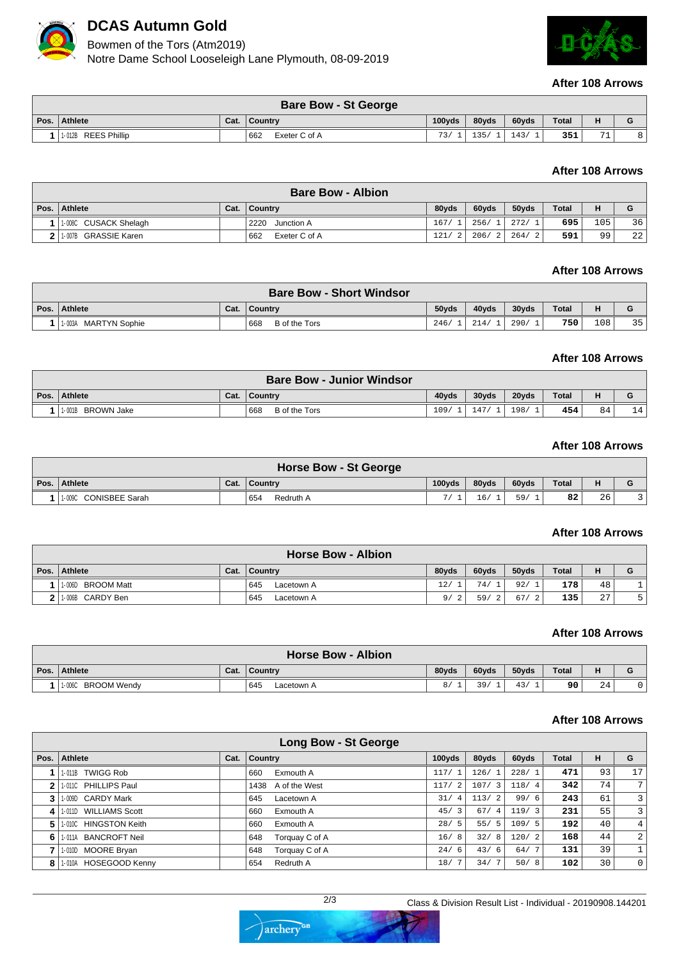

# **DCAS Autumn Gold**

Bowmen of the Tors (Atm2019)

Notre Dame School Looseleigh Lane Plymouth, 08-09-2019



#### **After 108 Arrows**

|      |                     |      | <b>Bare Bow - St George</b> |                     |       |       |              |                |   |
|------|---------------------|------|-----------------------------|---------------------|-------|-------|--------------|----------------|---|
| Pos. | Athlete             | Cat. | ∣ Country                   | 100 <sub>v</sub> ds | 80vds | 60yds | <b>Total</b> | н              | G |
|      | 1-012B REES Phillip |      | 662<br>Exeter C of A        | 73/                 |       | 143/  | 351          | 71<br><b>.</b> |   |

### **After 108 Arrows**

|      |                       | <b>Bare Bow - Albion</b> |       |       |           |              |     |    |
|------|-----------------------|--------------------------|-------|-------|-----------|--------------|-----|----|
| Pos. | Athlete               | Cat.   Country           | 80vds | 60yds | 50vds     | <b>Total</b> | н   | G  |
|      | 1-008C CUSACK Shelagh | 2220<br>Junction A       | 167/  | 256/1 | 272/1     | 695          | 105 | 36 |
|      | 1.007B GRASSIE Karen  | 662<br>Exeter C of A     | 121/  | 206/2 | 264/<br>2 | 591          | 99  | 22 |

#### **After 108 Arrows**

|      |                         |      | <b>Bare Bow - Short Windsor</b> |       |       |       |              |     |    |
|------|-------------------------|------|---------------------------------|-------|-------|-------|--------------|-----|----|
| Pos. | Athlete                 | Cat. | Country                         | 50vds | 40yds | 30yds | <b>Total</b> | н   |    |
|      | 1-003A<br>MARTYN Sophie |      | 668<br>B of the Tors            | 246/  | 214.  | 290/  | 750          | 108 | 35 |

#### **After 108 Arrows**

|      |                   |      | <b>Bare Bow - Junior Windsor</b> |       |       |       |              |    |                               |
|------|-------------------|------|----------------------------------|-------|-------|-------|--------------|----|-------------------------------|
| Pos. | Athlete           | Cat. | ∣ Countrv                        | 40vds | 30yds | 20yds | <b>Total</b> | н  | $\overline{\phantom{a}}$<br>u |
|      | 1-001B BROWN Jake |      | 668<br>B of the Tors             | 109/  | 147/  | 198/  | 454          | 84 | 14                            |

### **After 108 Arrows**

| <b>Horse Bow - St George</b> |      |                  |                     |       |       |              |    |  |  |  |
|------------------------------|------|------------------|---------------------|-------|-------|--------------|----|--|--|--|
| Pos. Athlete                 | Cat. | ∣ Countrv        | 100 <sub>v</sub> ds | 80vds | 60yds | <b>Total</b> |    |  |  |  |
| CONISBEE Sarah<br>1-009C     |      | 654<br>Redruth A |                     | 16,   | 59/   | 82           | 26 |  |  |  |

#### **After 108 Arrows**

| <b>Horse Bow - Albion</b> |                             |      |                   |       |       |          |              |    |  |  |
|---------------------------|-----------------------------|------|-------------------|-------|-------|----------|--------------|----|--|--|
| Pos. $\vert$              | Athlete                     | Cat. | $\vert$ Country   | 80vds | 60yds | 50yds    | <b>Total</b> |    |  |  |
|                           | <b>BROOM Matt</b><br>1-006D |      | 645<br>Lacetown A | 12/   | 74/   | 92/      | 178          | 48 |  |  |
| າ                         | 1-006B CARDY Ben            |      | 645<br>Lacetown A | 9/    | 59/   | 67<br>-2 | 135          | 27 |  |  |

#### **After 108 Arrows**

| <b>Horse Bow - Albion</b> |      |                   |       |       |       |              |    |  |  |  |
|---------------------------|------|-------------------|-------|-------|-------|--------------|----|--|--|--|
| Pos. Athlete              | Cat. | ∣ Country         | 80vds | 60yds | 50yds | <b>Total</b> | н  |  |  |  |
| BROOM Wendv<br>1-006C     |      | 645<br>Lacetown A | 8/    | 39,   | 43/   | 90           | 24 |  |  |  |

#### **After 108 Arrows**

| Long Bow - St George |                       |      |                       |           |       |       |              |    |                |  |
|----------------------|-----------------------|------|-----------------------|-----------|-------|-------|--------------|----|----------------|--|
| Pos.                 | Athlete               | Cat. | <b>Country</b>        | 100yds    | 80yds | 60yds | <b>Total</b> | н  | G              |  |
|                      | 1-011B TWIGG Rob      |      | Exmouth A<br>660      | 117/1     | 126/1 | 228/1 | 471          | 93 | 17             |  |
|                      | 1-011C PHILLIPS Paul  |      | 1438 A of the West    | 117/2     | 107/3 | 118/4 | 342          | 74 | 7 <sup>1</sup> |  |
|                      | 1-009D CARDY Mark     |      | 645<br>Lacetown A     | 31/<br>4  | 113/2 | 99/6  | 243          | 61 | $\overline{3}$ |  |
|                      | 1-011D WILLIAMS Scott |      | Exmouth A<br>660      | 45/3      | 67/4  | 119/3 | 231          | 55 | $\overline{3}$ |  |
| 5                    | 1-010C HINGSTON Keith |      | Exmouth A<br>660      | 28/<br>5. | 55/5  | 109/5 | 192          | 40 | 4 <sup>1</sup> |  |
| 6                    | 1-011A BANCROFT Neil  |      | Torquay C of A<br>648 | 16/<br>8' | 32/8  | 120/2 | 168          | 44 | $\overline{2}$ |  |
|                      | 1-010D MOORE Bryan    |      | Torquay C of A<br>648 | 24/<br>6  | 43/6  | 64/7  | 131          | 39 |                |  |
| 8                    | 1-010A HOSEGOOD Kenny |      | Redruth A<br>654      | 18/       | 34/7  | 50/8  | 102          | 30 | $\overline{0}$ |  |